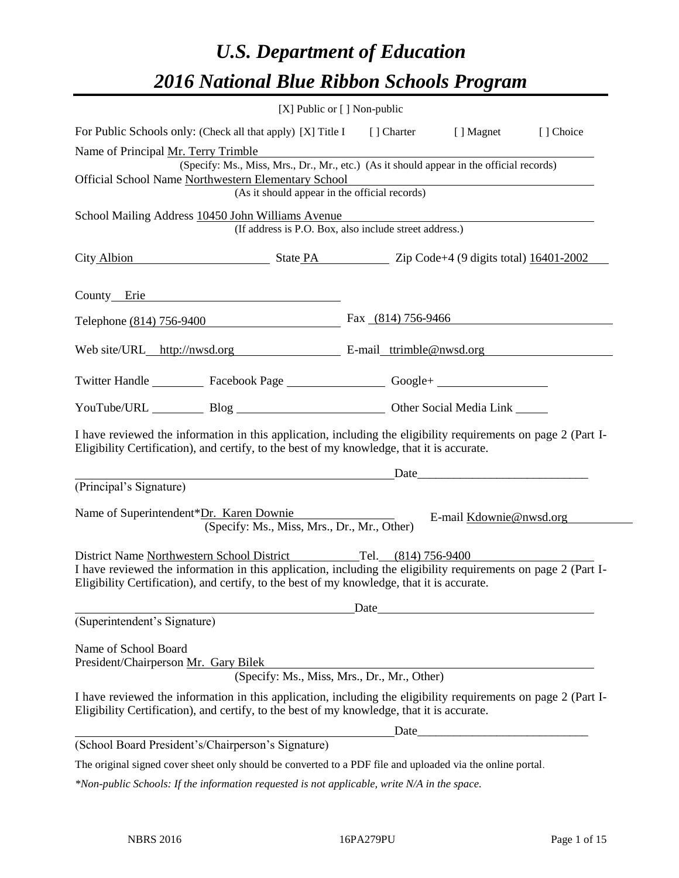# *U.S. Department of Education 2016 National Blue Ribbon Schools Program*

|                                                                                                            | $[X]$ Public or $[ ]$ Non-public                                                                                                                                                                                              |
|------------------------------------------------------------------------------------------------------------|-------------------------------------------------------------------------------------------------------------------------------------------------------------------------------------------------------------------------------|
| For Public Schools only: (Check all that apply) [X] Title I [] Charter [] Magnet                           | [] Choice                                                                                                                                                                                                                     |
| Name of Principal Mr. Terry Trimble                                                                        |                                                                                                                                                                                                                               |
|                                                                                                            | (Specify: Ms., Miss, Mrs., Dr., Mr., etc.) (As it should appear in the official records)                                                                                                                                      |
| Official School Name Northwestern Elementary School                                                        |                                                                                                                                                                                                                               |
| (As it should appear in the official records)                                                              |                                                                                                                                                                                                                               |
| School Mailing Address 10450 John Williams Avenue                                                          | (If address is P.O. Box, also include street address.)                                                                                                                                                                        |
| City Albion State PA Zip Code+4 (9 digits total) 16401-2002                                                |                                                                                                                                                                                                                               |
| County Erie                                                                                                |                                                                                                                                                                                                                               |
| Telephone (814) 756-9400                                                                                   | Fax $(814)$ 756-9466                                                                                                                                                                                                          |
| Web site/URL_http://nwsd.org E-mail_ttrimble@nwsd.org                                                      |                                                                                                                                                                                                                               |
| Twitter Handle ____________ Facebook Page _____________________Google+ __________                          |                                                                                                                                                                                                                               |
| YouTube/URL Blog Blog Discount Other Social Media Link                                                     |                                                                                                                                                                                                                               |
| Eligibility Certification), and certify, to the best of my knowledge, that it is accurate.                 | I have reviewed the information in this application, including the eligibility requirements on page 2 (Part I-                                                                                                                |
| <u> 1980 - Jan Samuel Barbara, poeta esta</u>                                                              | Date and the same state of the same state of the same state of the same state of the same state of the same state of the same state of the same state of the same state of the same state of the same state of the same state |
| (Principal's Signature)                                                                                    |                                                                                                                                                                                                                               |
| Name of Superintendent*Dr. Karen Downie<br>(Specify: Ms., Miss, Mrs., Dr., Mr., Other)                     | E-mail Kdownie@nwsd.org                                                                                                                                                                                                       |
| District Name Northwestern School District Tel. (814) 756-9400                                             |                                                                                                                                                                                                                               |
| Eligibility Certification), and certify, to the best of my knowledge, that it is accurate.                 | I have reviewed the information in this application, including the eligibility requirements on page 2 (Part I-                                                                                                                |
|                                                                                                            | Date experience and the second service of the service of the service of the service of the service of the service of the service of the service of the service of the service of the service of the service of the service of |
| (Superintendent's Signature)                                                                               |                                                                                                                                                                                                                               |
| Name of School Board<br>President/Chairperson Mr. Gary Bilek                                               | (Specify: Ms., Miss, Mrs., Dr., Mr., Other)                                                                                                                                                                                   |
| Eligibility Certification), and certify, to the best of my knowledge, that it is accurate.                 | I have reviewed the information in this application, including the eligibility requirements on page 2 (Part I-                                                                                                                |
|                                                                                                            |                                                                                                                                                                                                                               |
| (School Board President's/Chairperson's Signature)                                                         |                                                                                                                                                                                                                               |
| The original signed cover sheet only should be converted to a PDF file and uploaded via the online portal. |                                                                                                                                                                                                                               |

*\*Non-public Schools: If the information requested is not applicable, write N/A in the space.*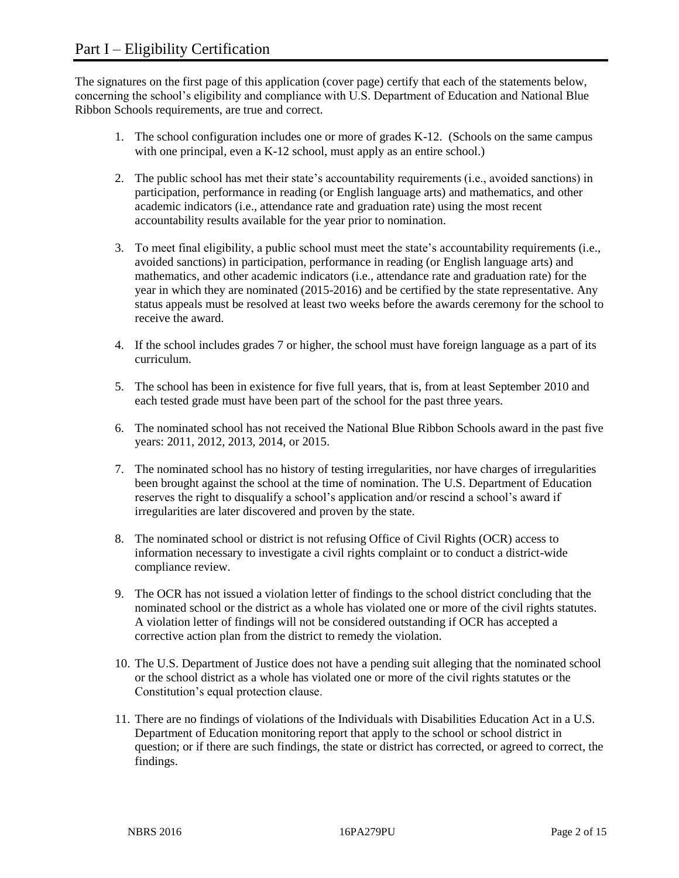The signatures on the first page of this application (cover page) certify that each of the statements below, concerning the school's eligibility and compliance with U.S. Department of Education and National Blue Ribbon Schools requirements, are true and correct.

- 1. The school configuration includes one or more of grades K-12. (Schools on the same campus with one principal, even a K-12 school, must apply as an entire school.)
- 2. The public school has met their state's accountability requirements (i.e., avoided sanctions) in participation, performance in reading (or English language arts) and mathematics, and other academic indicators (i.e., attendance rate and graduation rate) using the most recent accountability results available for the year prior to nomination.
- 3. To meet final eligibility, a public school must meet the state's accountability requirements (i.e., avoided sanctions) in participation, performance in reading (or English language arts) and mathematics, and other academic indicators (i.e., attendance rate and graduation rate) for the year in which they are nominated (2015-2016) and be certified by the state representative. Any status appeals must be resolved at least two weeks before the awards ceremony for the school to receive the award.
- 4. If the school includes grades 7 or higher, the school must have foreign language as a part of its curriculum.
- 5. The school has been in existence for five full years, that is, from at least September 2010 and each tested grade must have been part of the school for the past three years.
- 6. The nominated school has not received the National Blue Ribbon Schools award in the past five years: 2011, 2012, 2013, 2014, or 2015.
- 7. The nominated school has no history of testing irregularities, nor have charges of irregularities been brought against the school at the time of nomination. The U.S. Department of Education reserves the right to disqualify a school's application and/or rescind a school's award if irregularities are later discovered and proven by the state.
- 8. The nominated school or district is not refusing Office of Civil Rights (OCR) access to information necessary to investigate a civil rights complaint or to conduct a district-wide compliance review.
- 9. The OCR has not issued a violation letter of findings to the school district concluding that the nominated school or the district as a whole has violated one or more of the civil rights statutes. A violation letter of findings will not be considered outstanding if OCR has accepted a corrective action plan from the district to remedy the violation.
- 10. The U.S. Department of Justice does not have a pending suit alleging that the nominated school or the school district as a whole has violated one or more of the civil rights statutes or the Constitution's equal protection clause.
- 11. There are no findings of violations of the Individuals with Disabilities Education Act in a U.S. Department of Education monitoring report that apply to the school or school district in question; or if there are such findings, the state or district has corrected, or agreed to correct, the findings.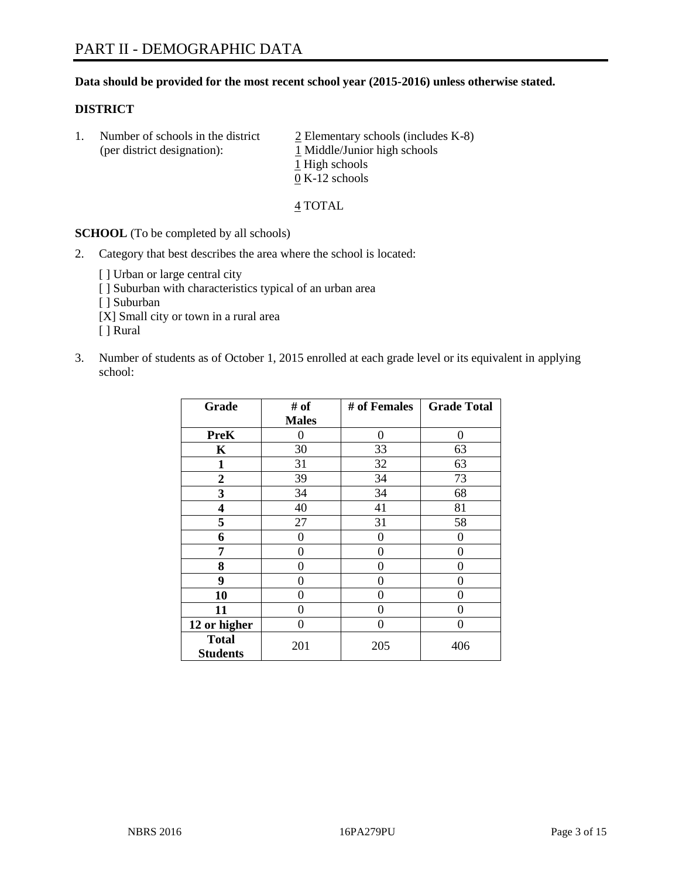# **Data should be provided for the most recent school year (2015-2016) unless otherwise stated.**

#### **DISTRICT**

1. Number of schools in the district  $\frac{2}{2}$  Elementary schools (includes K-8) (per district designation):  $\frac{1 \text{ Middle/Junior high schools}}{}$ 1 High schools 0 K-12 schools

#### 4 TOTAL

**SCHOOL** (To be completed by all schools)

- 2. Category that best describes the area where the school is located:
	- [] Urban or large central city [ ] Suburban with characteristics typical of an urban area [ ] Suburban [X] Small city or town in a rural area [ ] Rural
- 3. Number of students as of October 1, 2015 enrolled at each grade level or its equivalent in applying school:

| Grade                           | # of         | # of Females | <b>Grade Total</b> |
|---------------------------------|--------------|--------------|--------------------|
|                                 | <b>Males</b> |              |                    |
| <b>PreK</b>                     | 0            | 0            | $\Omega$           |
| K                               | 30           | 33           | 63                 |
| 1                               | 31           | 32           | 63                 |
| 2                               | 39           | 34           | 73                 |
| 3                               | 34           | 34           | 68                 |
| 4                               | 40           | 41           | 81                 |
| 5                               | 27           | 31           | 58                 |
| 6                               | 0            | 0            | $\Omega$           |
| 7                               | 0            | 0            | $\Omega$           |
| 8                               | 0            | 0            | 0                  |
| 9                               | 0            | 0            | 0                  |
| 10                              | $\theta$     | 0            | 0                  |
| 11                              | 0            | 0            | 0                  |
| 12 or higher                    | 0            | 0            | $\Omega$           |
| <b>Total</b><br><b>Students</b> | 201          | 205          | 406                |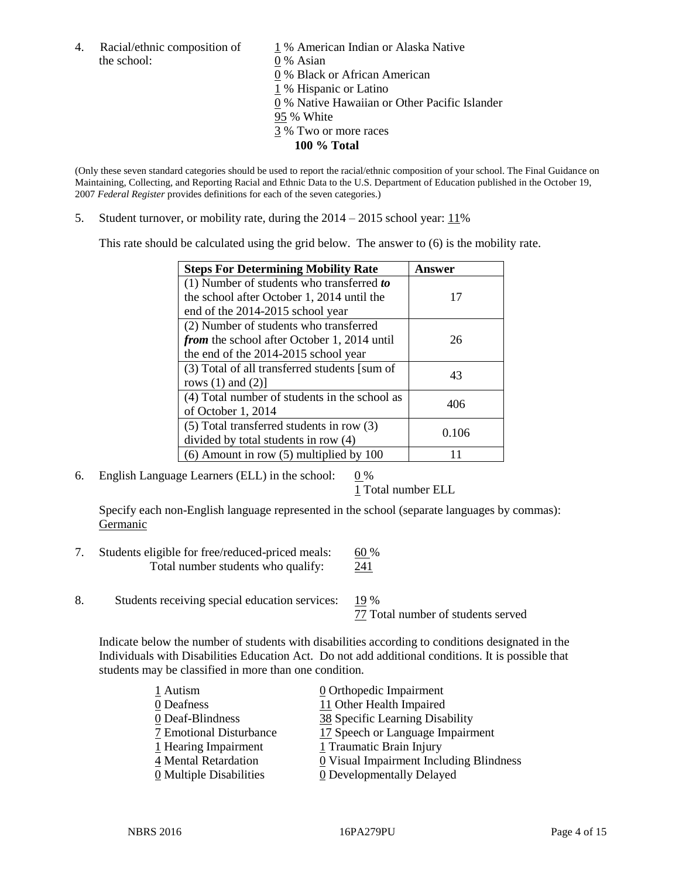the school: 0 % Asian

4. Racial/ethnic composition of  $1\%$  American Indian or Alaska Native 0 % Black or African American 1 % Hispanic or Latino 0 % Native Hawaiian or Other Pacific Islander 95 % White 3 % Two or more races **100 % Total**

(Only these seven standard categories should be used to report the racial/ethnic composition of your school. The Final Guidance on Maintaining, Collecting, and Reporting Racial and Ethnic Data to the U.S. Department of Education published in the October 19, 2007 *Federal Register* provides definitions for each of the seven categories.)

5. Student turnover, or mobility rate, during the  $2014 - 2015$  school year:  $11\%$ 

This rate should be calculated using the grid below. The answer to (6) is the mobility rate.

| <b>Steps For Determining Mobility Rate</b>         | Answer |  |
|----------------------------------------------------|--------|--|
| $(1)$ Number of students who transferred to        |        |  |
| the school after October 1, 2014 until the         | 17     |  |
| end of the 2014-2015 school year                   |        |  |
| (2) Number of students who transferred             |        |  |
| <i>from</i> the school after October 1, 2014 until | 26     |  |
| the end of the 2014-2015 school year               |        |  |
| (3) Total of all transferred students [sum of      | 43     |  |
| rows $(1)$ and $(2)$ ]                             |        |  |
| (4) Total number of students in the school as      | 406    |  |
| of October 1, 2014                                 |        |  |
| (5) Total transferred students in row (3)          | 0.106  |  |
| divided by total students in row (4)               |        |  |
| $(6)$ Amount in row $(5)$ multiplied by 100        |        |  |

6. English Language Learners (ELL) in the school:  $0\%$ 

1 Total number ELL

Specify each non-English language represented in the school (separate languages by commas): Germanic

- 7. Students eligible for free/reduced-priced meals: 60 % Total number students who qualify: 241
- 8. Students receiving special education services: 19 %

77 Total number of students served

Indicate below the number of students with disabilities according to conditions designated in the Individuals with Disabilities Education Act. Do not add additional conditions. It is possible that students may be classified in more than one condition.

| 1 Autism                              | $\underline{0}$ Orthopedic Impairment   |
|---------------------------------------|-----------------------------------------|
| 0 Deafness                            | 11 Other Health Impaired                |
| 0 Deaf-Blindness                      | 38 Specific Learning Disability         |
| 7 Emotional Disturbance               | 17 Speech or Language Impairment        |
| 1 Hearing Impairment                  | 1 Traumatic Brain Injury                |
| 4 Mental Retardation                  | 0 Visual Impairment Including Blindness |
| $\underline{0}$ Multiple Disabilities | <b>0</b> Developmentally Delayed        |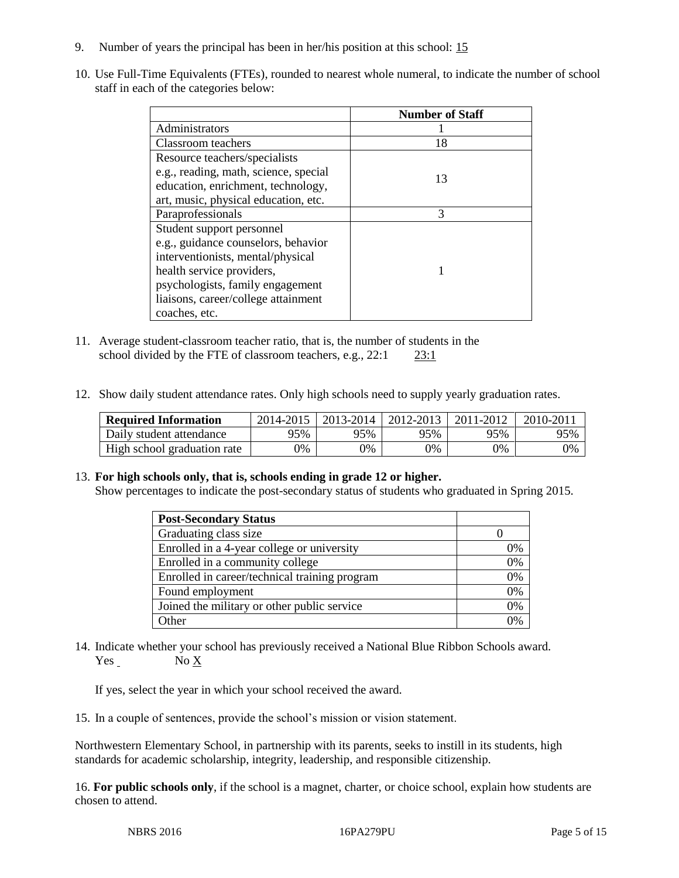- 9. Number of years the principal has been in her/his position at this school: 15
- 10. Use Full-Time Equivalents (FTEs), rounded to nearest whole numeral, to indicate the number of school staff in each of the categories below:

|                                       | <b>Number of Staff</b> |
|---------------------------------------|------------------------|
| Administrators                        |                        |
| Classroom teachers                    | 18                     |
| Resource teachers/specialists         |                        |
| e.g., reading, math, science, special | 13                     |
| education, enrichment, technology,    |                        |
| art, music, physical education, etc.  |                        |
| Paraprofessionals                     | $\mathcal{R}$          |
| Student support personnel             |                        |
| e.g., guidance counselors, behavior   |                        |
| interventionists, mental/physical     |                        |
| health service providers,             |                        |
| psychologists, family engagement      |                        |
| liaisons, career/college attainment   |                        |
| coaches, etc.                         |                        |

- 11. Average student-classroom teacher ratio, that is, the number of students in the school divided by the FTE of classroom teachers, e.g., 22:1 23:1
- 12. Show daily student attendance rates. Only high schools need to supply yearly graduation rates.

| <b>Required Information</b> | 2014-2015 | 2013-2014 | 2012-2013 | 2011-2012 | $2010 - 201$ . |
|-----------------------------|-----------|-----------|-----------|-----------|----------------|
| Daily student attendance    | 95%       | 95%       | 95%       | 95%       | 95%            |
| High school graduation rate | 9%        | 0%        | 0%        | 9%        | 0%             |

# 13. **For high schools only, that is, schools ending in grade 12 or higher.**

Show percentages to indicate the post-secondary status of students who graduated in Spring 2015.

| <b>Post-Secondary Status</b>                  |    |
|-----------------------------------------------|----|
| Graduating class size                         |    |
| Enrolled in a 4-year college or university    | 0% |
| Enrolled in a community college               | 0% |
| Enrolled in career/technical training program | 0% |
| Found employment                              | 0% |
| Joined the military or other public service   | 0% |
| Other                                         | በ% |

14. Indicate whether your school has previously received a National Blue Ribbon Schools award. Yes No X

If yes, select the year in which your school received the award.

15. In a couple of sentences, provide the school's mission or vision statement.

Northwestern Elementary School, in partnership with its parents, seeks to instill in its students, high standards for academic scholarship, integrity, leadership, and responsible citizenship.

16. **For public schools only**, if the school is a magnet, charter, or choice school, explain how students are chosen to attend.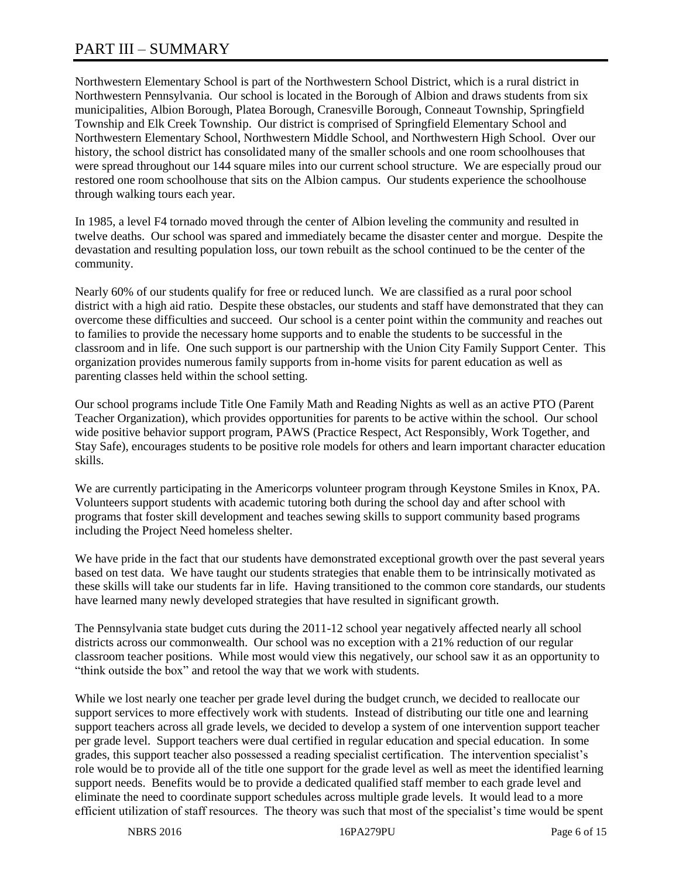# PART III – SUMMARY

Northwestern Elementary School is part of the Northwestern School District, which is a rural district in Northwestern Pennsylvania. Our school is located in the Borough of Albion and draws students from six municipalities, Albion Borough, Platea Borough, Cranesville Borough, Conneaut Township, Springfield Township and Elk Creek Township. Our district is comprised of Springfield Elementary School and Northwestern Elementary School, Northwestern Middle School, and Northwestern High School. Over our history, the school district has consolidated many of the smaller schools and one room schoolhouses that were spread throughout our 144 square miles into our current school structure. We are especially proud our restored one room schoolhouse that sits on the Albion campus. Our students experience the schoolhouse through walking tours each year.

In 1985, a level F4 tornado moved through the center of Albion leveling the community and resulted in twelve deaths. Our school was spared and immediately became the disaster center and morgue. Despite the devastation and resulting population loss, our town rebuilt as the school continued to be the center of the community.

Nearly 60% of our students qualify for free or reduced lunch. We are classified as a rural poor school district with a high aid ratio. Despite these obstacles, our students and staff have demonstrated that they can overcome these difficulties and succeed. Our school is a center point within the community and reaches out to families to provide the necessary home supports and to enable the students to be successful in the classroom and in life. One such support is our partnership with the Union City Family Support Center. This organization provides numerous family supports from in-home visits for parent education as well as parenting classes held within the school setting.

Our school programs include Title One Family Math and Reading Nights as well as an active PTO (Parent Teacher Organization), which provides opportunities for parents to be active within the school. Our school wide positive behavior support program, PAWS (Practice Respect, Act Responsibly, Work Together, and Stay Safe), encourages students to be positive role models for others and learn important character education skills.

We are currently participating in the Americorps volunteer program through Keystone Smiles in Knox, PA. Volunteers support students with academic tutoring both during the school day and after school with programs that foster skill development and teaches sewing skills to support community based programs including the Project Need homeless shelter.

We have pride in the fact that our students have demonstrated exceptional growth over the past several years based on test data. We have taught our students strategies that enable them to be intrinsically motivated as these skills will take our students far in life. Having transitioned to the common core standards, our students have learned many newly developed strategies that have resulted in significant growth.

The Pennsylvania state budget cuts during the 2011-12 school year negatively affected nearly all school districts across our commonwealth. Our school was no exception with a 21% reduction of our regular classroom teacher positions. While most would view this negatively, our school saw it as an opportunity to "think outside the box" and retool the way that we work with students.

While we lost nearly one teacher per grade level during the budget crunch, we decided to reallocate our support services to more effectively work with students. Instead of distributing our title one and learning support teachers across all grade levels, we decided to develop a system of one intervention support teacher per grade level. Support teachers were dual certified in regular education and special education. In some grades, this support teacher also possessed a reading specialist certification. The intervention specialist's role would be to provide all of the title one support for the grade level as well as meet the identified learning support needs. Benefits would be to provide a dedicated qualified staff member to each grade level and eliminate the need to coordinate support schedules across multiple grade levels. It would lead to a more efficient utilization of staff resources. The theory was such that most of the specialist's time would be spent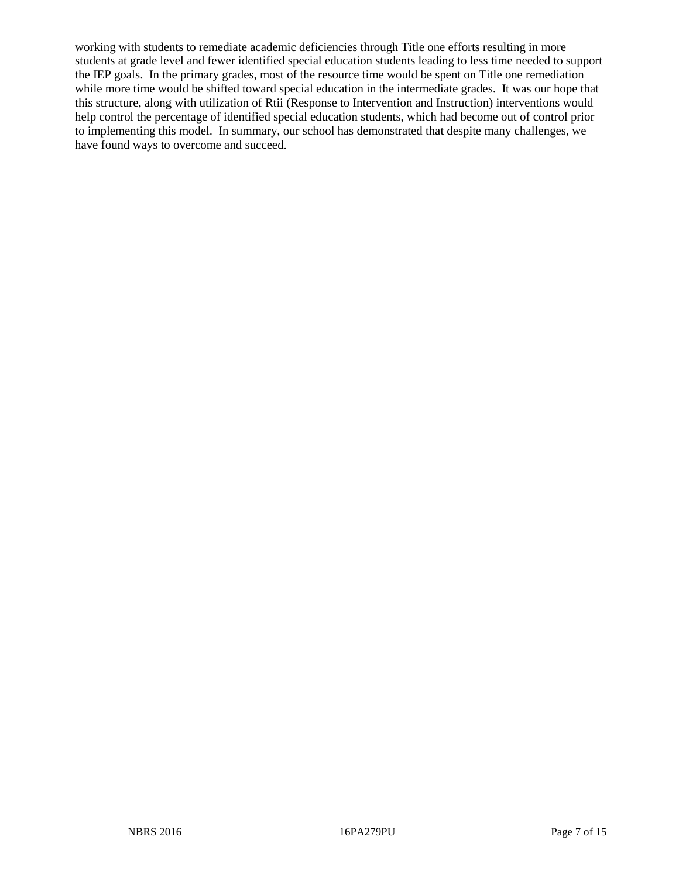working with students to remediate academic deficiencies through Title one efforts resulting in more students at grade level and fewer identified special education students leading to less time needed to support the IEP goals. In the primary grades, most of the resource time would be spent on Title one remediation while more time would be shifted toward special education in the intermediate grades. It was our hope that this structure, along with utilization of Rtii (Response to Intervention and Instruction) interventions would help control the percentage of identified special education students, which had become out of control prior to implementing this model. In summary, our school has demonstrated that despite many challenges, we have found ways to overcome and succeed.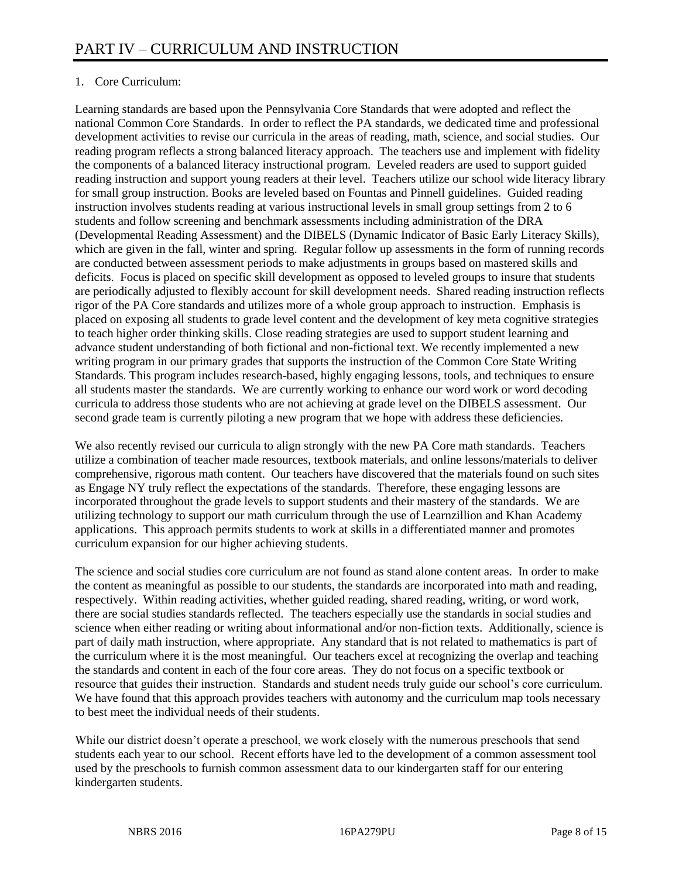# 1. Core Curriculum:

Learning standards are based upon the Pennsylvania Core Standards that were adopted and reflect the national Common Core Standards. In order to reflect the PA standards, we dedicated time and professional development activities to revise our curricula in the areas of reading, math, science, and social studies. Our reading program reflects a strong balanced literacy approach. The teachers use and implement with fidelity the components of a balanced literacy instructional program. Leveled readers are used to support guided reading instruction and support young readers at their level. Teachers utilize our school wide literacy library for small group instruction. Books are leveled based on Fountas and Pinnell guidelines. Guided reading instruction involves students reading at various instructional levels in small group settings from 2 to 6 students and follow screening and benchmark assessments including administration of the DRA (Developmental Reading Assessment) and the DIBELS (Dynamic Indicator of Basic Early Literacy Skills), which are given in the fall, winter and spring. Regular follow up assessments in the form of running records are conducted between assessment periods to make adjustments in groups based on mastered skills and deficits. Focus is placed on specific skill development as opposed to leveled groups to insure that students are periodically adjusted to flexibly account for skill development needs. Shared reading instruction reflects rigor of the PA Core standards and utilizes more of a whole group approach to instruction. Emphasis is placed on exposing all students to grade level content and the development of key meta cognitive strategies to teach higher order thinking skills. Close reading strategies are used to support student learning and advance student understanding of both fictional and non-fictional text. We recently implemented a new writing program in our primary grades that supports the instruction of the Common Core State Writing Standards. This program includes research-based, highly engaging lessons, tools, and techniques to ensure all students master the standards. We are currently working to enhance our word work or word decoding curricula to address those students who are not achieving at grade level on the DIBELS assessment. Our second grade team is currently piloting a new program that we hope with address these deficiencies.

We also recently revised our curricula to align strongly with the new PA Core math standards. Teachers utilize a combination of teacher made resources, textbook materials, and online lessons/materials to deliver comprehensive, rigorous math content. Our teachers have discovered that the materials found on such sites as Engage NY truly reflect the expectations of the standards. Therefore, these engaging lessons are incorporated throughout the grade levels to support students and their mastery of the standards. We are utilizing technology to support our math curriculum through the use of Learnzillion and Khan Academy applications. This approach permits students to work at skills in a differentiated manner and promotes curriculum expansion for our higher achieving students.

The science and social studies core curriculum are not found as stand alone content areas. In order to make the content as meaningful as possible to our students, the standards are incorporated into math and reading, respectively. Within reading activities, whether guided reading, shared reading, writing, or word work, there are social studies standards reflected. The teachers especially use the standards in social studies and science when either reading or writing about informational and/or non-fiction texts. Additionally, science is part of daily math instruction, where appropriate. Any standard that is not related to mathematics is part of the curriculum where it is the most meaningful. Our teachers excel at recognizing the overlap and teaching the standards and content in each of the four core areas. They do not focus on a specific textbook or resource that guides their instruction. Standards and student needs truly guide our school's core curriculum. We have found that this approach provides teachers with autonomy and the curriculum map tools necessary to best meet the individual needs of their students.

While our district doesn't operate a preschool, we work closely with the numerous preschools that send students each year to our school. Recent efforts have led to the development of a common assessment tool used by the preschools to furnish common assessment data to our kindergarten staff for our entering kindergarten students.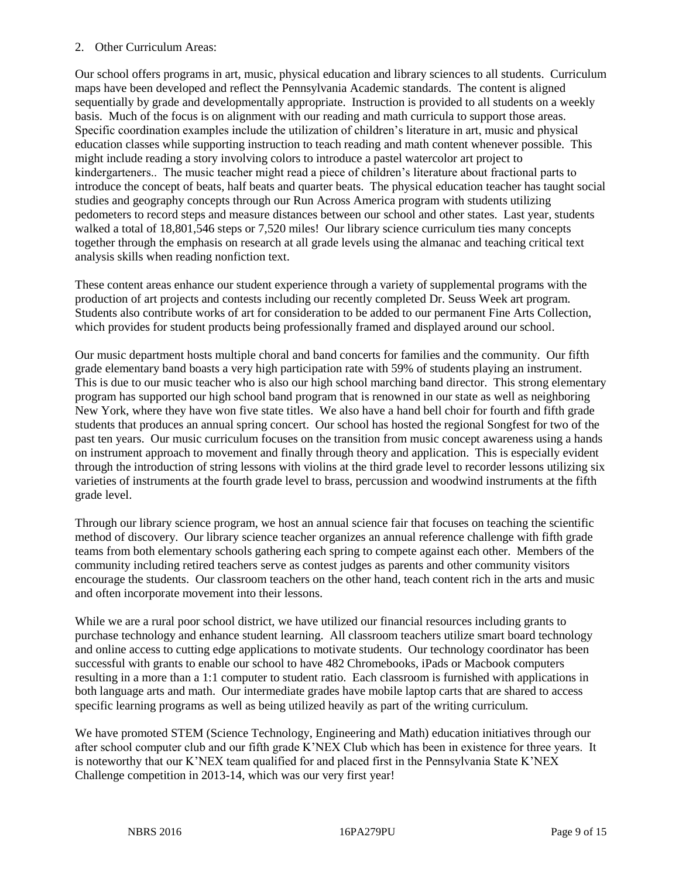# 2. Other Curriculum Areas:

Our school offers programs in art, music, physical education and library sciences to all students. Curriculum maps have been developed and reflect the Pennsylvania Academic standards. The content is aligned sequentially by grade and developmentally appropriate. Instruction is provided to all students on a weekly basis. Much of the focus is on alignment with our reading and math curricula to support those areas. Specific coordination examples include the utilization of children's literature in art, music and physical education classes while supporting instruction to teach reading and math content whenever possible. This might include reading a story involving colors to introduce a pastel watercolor art project to kindergarteners.. The music teacher might read a piece of children's literature about fractional parts to introduce the concept of beats, half beats and quarter beats. The physical education teacher has taught social studies and geography concepts through our Run Across America program with students utilizing pedometers to record steps and measure distances between our school and other states. Last year, students walked a total of 18,801,546 steps or 7,520 miles! Our library science curriculum ties many concepts together through the emphasis on research at all grade levels using the almanac and teaching critical text analysis skills when reading nonfiction text.

These content areas enhance our student experience through a variety of supplemental programs with the production of art projects and contests including our recently completed Dr. Seuss Week art program. Students also contribute works of art for consideration to be added to our permanent Fine Arts Collection, which provides for student products being professionally framed and displayed around our school.

Our music department hosts multiple choral and band concerts for families and the community. Our fifth grade elementary band boasts a very high participation rate with 59% of students playing an instrument. This is due to our music teacher who is also our high school marching band director. This strong elementary program has supported our high school band program that is renowned in our state as well as neighboring New York, where they have won five state titles. We also have a hand bell choir for fourth and fifth grade students that produces an annual spring concert. Our school has hosted the regional Songfest for two of the past ten years. Our music curriculum focuses on the transition from music concept awareness using a hands on instrument approach to movement and finally through theory and application. This is especially evident through the introduction of string lessons with violins at the third grade level to recorder lessons utilizing six varieties of instruments at the fourth grade level to brass, percussion and woodwind instruments at the fifth grade level.

Through our library science program, we host an annual science fair that focuses on teaching the scientific method of discovery. Our library science teacher organizes an annual reference challenge with fifth grade teams from both elementary schools gathering each spring to compete against each other. Members of the community including retired teachers serve as contest judges as parents and other community visitors encourage the students. Our classroom teachers on the other hand, teach content rich in the arts and music and often incorporate movement into their lessons.

While we are a rural poor school district, we have utilized our financial resources including grants to purchase technology and enhance student learning. All classroom teachers utilize smart board technology and online access to cutting edge applications to motivate students. Our technology coordinator has been successful with grants to enable our school to have 482 Chromebooks, iPads or Macbook computers resulting in a more than a 1:1 computer to student ratio. Each classroom is furnished with applications in both language arts and math. Our intermediate grades have mobile laptop carts that are shared to access specific learning programs as well as being utilized heavily as part of the writing curriculum.

We have promoted STEM (Science Technology, Engineering and Math) education initiatives through our after school computer club and our fifth grade K'NEX Club which has been in existence for three years. It is noteworthy that our K'NEX team qualified for and placed first in the Pennsylvania State K'NEX Challenge competition in 2013-14, which was our very first year!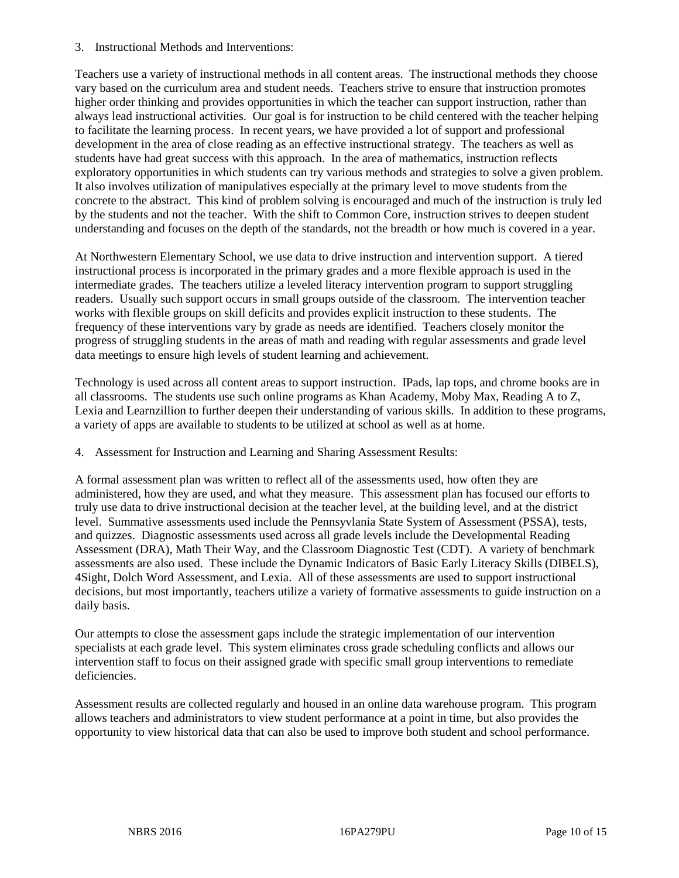3. Instructional Methods and Interventions:

Teachers use a variety of instructional methods in all content areas. The instructional methods they choose vary based on the curriculum area and student needs. Teachers strive to ensure that instruction promotes higher order thinking and provides opportunities in which the teacher can support instruction, rather than always lead instructional activities. Our goal is for instruction to be child centered with the teacher helping to facilitate the learning process. In recent years, we have provided a lot of support and professional development in the area of close reading as an effective instructional strategy. The teachers as well as students have had great success with this approach. In the area of mathematics, instruction reflects exploratory opportunities in which students can try various methods and strategies to solve a given problem. It also involves utilization of manipulatives especially at the primary level to move students from the concrete to the abstract. This kind of problem solving is encouraged and much of the instruction is truly led by the students and not the teacher. With the shift to Common Core, instruction strives to deepen student understanding and focuses on the depth of the standards, not the breadth or how much is covered in a year.

At Northwestern Elementary School, we use data to drive instruction and intervention support. A tiered instructional process is incorporated in the primary grades and a more flexible approach is used in the intermediate grades. The teachers utilize a leveled literacy intervention program to support struggling readers. Usually such support occurs in small groups outside of the classroom. The intervention teacher works with flexible groups on skill deficits and provides explicit instruction to these students. The frequency of these interventions vary by grade as needs are identified. Teachers closely monitor the progress of struggling students in the areas of math and reading with regular assessments and grade level data meetings to ensure high levels of student learning and achievement.

Technology is used across all content areas to support instruction. IPads, lap tops, and chrome books are in all classrooms. The students use such online programs as Khan Academy, Moby Max, Reading A to Z, Lexia and Learnzillion to further deepen their understanding of various skills. In addition to these programs, a variety of apps are available to students to be utilized at school as well as at home.

4. Assessment for Instruction and Learning and Sharing Assessment Results:

A formal assessment plan was written to reflect all of the assessments used, how often they are administered, how they are used, and what they measure. This assessment plan has focused our efforts to truly use data to drive instructional decision at the teacher level, at the building level, and at the district level. Summative assessments used include the Pennsyvlania State System of Assessment (PSSA), tests, and quizzes. Diagnostic assessments used across all grade levels include the Developmental Reading Assessment (DRA), Math Their Way, and the Classroom Diagnostic Test (CDT). A variety of benchmark assessments are also used. These include the Dynamic Indicators of Basic Early Literacy Skills (DIBELS), 4Sight, Dolch Word Assessment, and Lexia. All of these assessments are used to support instructional decisions, but most importantly, teachers utilize a variety of formative assessments to guide instruction on a daily basis.

Our attempts to close the assessment gaps include the strategic implementation of our intervention specialists at each grade level. This system eliminates cross grade scheduling conflicts and allows our intervention staff to focus on their assigned grade with specific small group interventions to remediate deficiencies.

Assessment results are collected regularly and housed in an online data warehouse program. This program allows teachers and administrators to view student performance at a point in time, but also provides the opportunity to view historical data that can also be used to improve both student and school performance.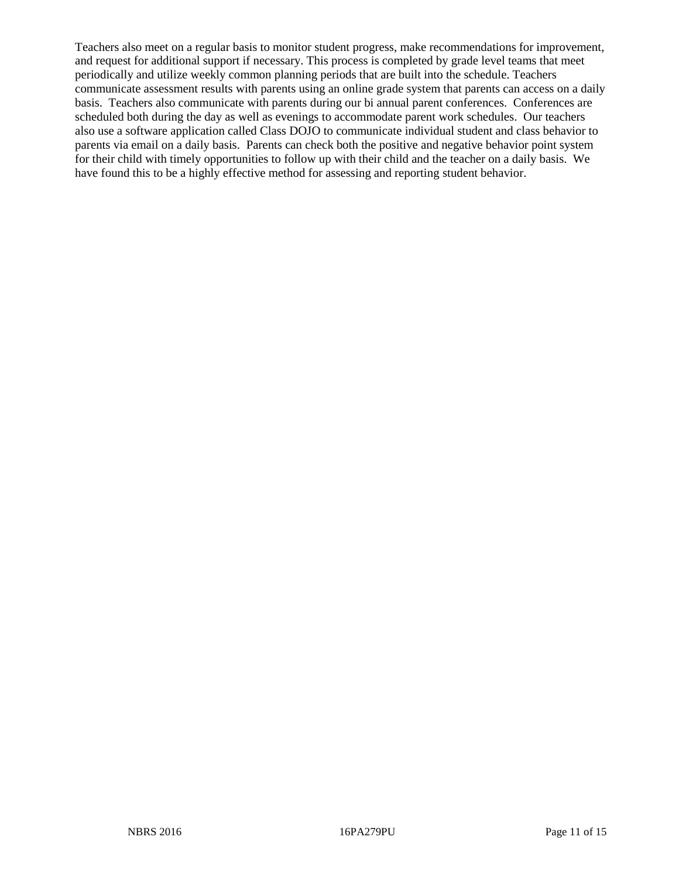Teachers also meet on a regular basis to monitor student progress, make recommendations for improvement, and request for additional support if necessary. This process is completed by grade level teams that meet periodically and utilize weekly common planning periods that are built into the schedule. Teachers communicate assessment results with parents using an online grade system that parents can access on a daily basis. Teachers also communicate with parents during our bi annual parent conferences. Conferences are scheduled both during the day as well as evenings to accommodate parent work schedules. Our teachers also use a software application called Class DOJO to communicate individual student and class behavior to parents via email on a daily basis. Parents can check both the positive and negative behavior point system for their child with timely opportunities to follow up with their child and the teacher on a daily basis. We have found this to be a highly effective method for assessing and reporting student behavior.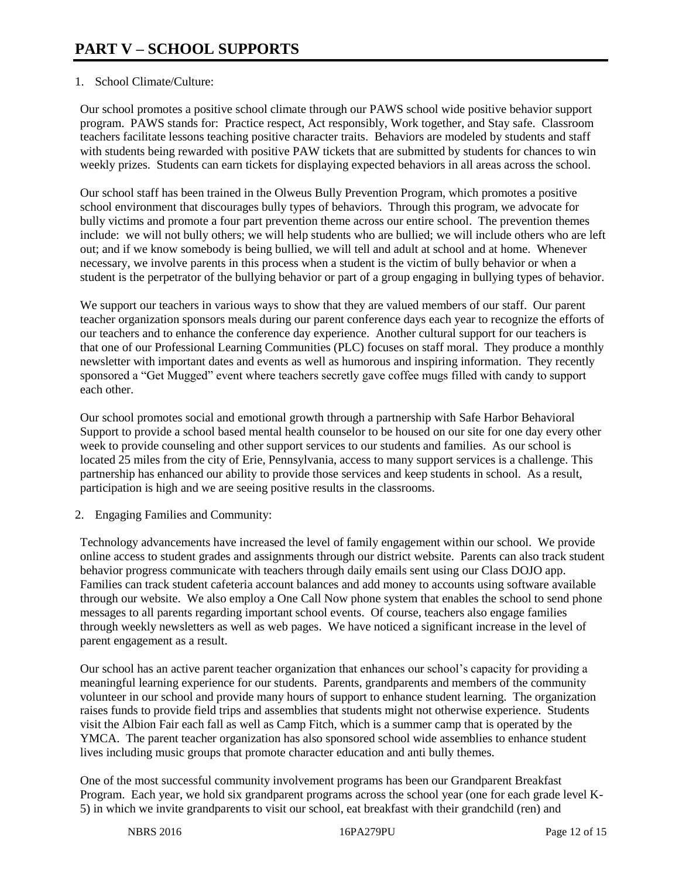# 1. School Climate/Culture:

Our school promotes a positive school climate through our PAWS school wide positive behavior support program. PAWS stands for: Practice respect, Act responsibly, Work together, and Stay safe. Classroom teachers facilitate lessons teaching positive character traits. Behaviors are modeled by students and staff with students being rewarded with positive PAW tickets that are submitted by students for chances to win weekly prizes. Students can earn tickets for displaying expected behaviors in all areas across the school.

Our school staff has been trained in the Olweus Bully Prevention Program, which promotes a positive school environment that discourages bully types of behaviors. Through this program, we advocate for bully victims and promote a four part prevention theme across our entire school. The prevention themes include: we will not bully others; we will help students who are bullied; we will include others who are left out; and if we know somebody is being bullied, we will tell and adult at school and at home. Whenever necessary, we involve parents in this process when a student is the victim of bully behavior or when a student is the perpetrator of the bullying behavior or part of a group engaging in bullying types of behavior.

We support our teachers in various ways to show that they are valued members of our staff. Our parent teacher organization sponsors meals during our parent conference days each year to recognize the efforts of our teachers and to enhance the conference day experience. Another cultural support for our teachers is that one of our Professional Learning Communities (PLC) focuses on staff moral. They produce a monthly newsletter with important dates and events as well as humorous and inspiring information. They recently sponsored a "Get Mugged" event where teachers secretly gave coffee mugs filled with candy to support each other.

Our school promotes social and emotional growth through a partnership with Safe Harbor Behavioral Support to provide a school based mental health counselor to be housed on our site for one day every other week to provide counseling and other support services to our students and families. As our school is located 25 miles from the city of Erie, Pennsylvania, access to many support services is a challenge. This partnership has enhanced our ability to provide those services and keep students in school. As a result, participation is high and we are seeing positive results in the classrooms.

2. Engaging Families and Community:

Technology advancements have increased the level of family engagement within our school. We provide online access to student grades and assignments through our district website. Parents can also track student behavior progress communicate with teachers through daily emails sent using our Class DOJO app. Families can track student cafeteria account balances and add money to accounts using software available through our website. We also employ a One Call Now phone system that enables the school to send phone messages to all parents regarding important school events. Of course, teachers also engage families through weekly newsletters as well as web pages. We have noticed a significant increase in the level of parent engagement as a result.

Our school has an active parent teacher organization that enhances our school's capacity for providing a meaningful learning experience for our students. Parents, grandparents and members of the community volunteer in our school and provide many hours of support to enhance student learning. The organization raises funds to provide field trips and assemblies that students might not otherwise experience. Students visit the Albion Fair each fall as well as Camp Fitch, which is a summer camp that is operated by the YMCA. The parent teacher organization has also sponsored school wide assemblies to enhance student lives including music groups that promote character education and anti bully themes.

One of the most successful community involvement programs has been our Grandparent Breakfast Program. Each year, we hold six grandparent programs across the school year (one for each grade level K-5) in which we invite grandparents to visit our school, eat breakfast with their grandchild (ren) and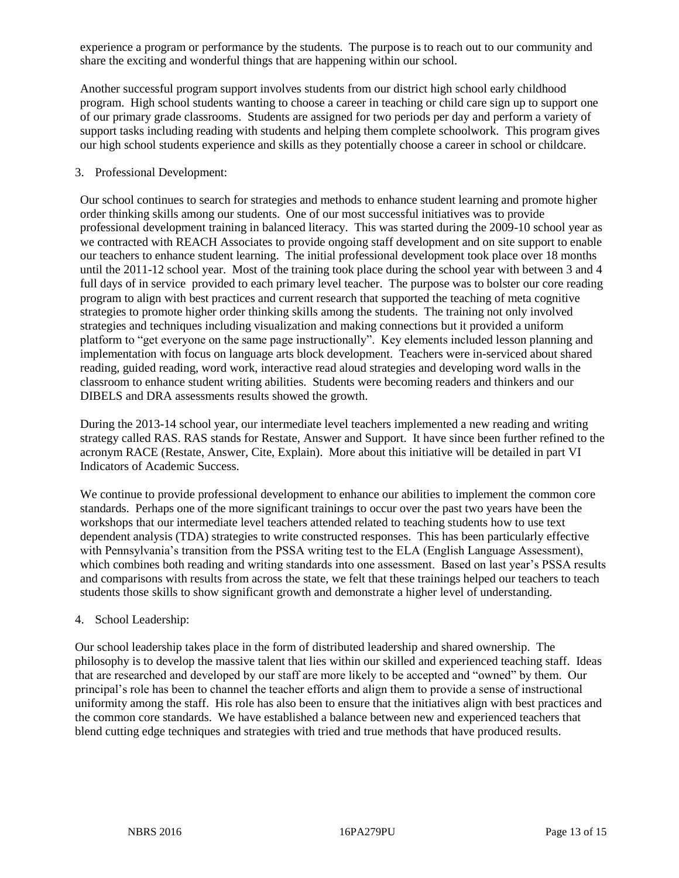experience a program or performance by the students. The purpose is to reach out to our community and share the exciting and wonderful things that are happening within our school.

Another successful program support involves students from our district high school early childhood program. High school students wanting to choose a career in teaching or child care sign up to support one of our primary grade classrooms. Students are assigned for two periods per day and perform a variety of support tasks including reading with students and helping them complete schoolwork. This program gives our high school students experience and skills as they potentially choose a career in school or childcare.

# 3. Professional Development:

Our school continues to search for strategies and methods to enhance student learning and promote higher order thinking skills among our students. One of our most successful initiatives was to provide professional development training in balanced literacy. This was started during the 2009-10 school year as we contracted with REACH Associates to provide ongoing staff development and on site support to enable our teachers to enhance student learning. The initial professional development took place over 18 months until the 2011-12 school year. Most of the training took place during the school year with between 3 and 4 full days of in service provided to each primary level teacher. The purpose was to bolster our core reading program to align with best practices and current research that supported the teaching of meta cognitive strategies to promote higher order thinking skills among the students. The training not only involved strategies and techniques including visualization and making connections but it provided a uniform platform to "get everyone on the same page instructionally". Key elements included lesson planning and implementation with focus on language arts block development. Teachers were in-serviced about shared reading, guided reading, word work, interactive read aloud strategies and developing word walls in the classroom to enhance student writing abilities. Students were becoming readers and thinkers and our DIBELS and DRA assessments results showed the growth.

During the 2013-14 school year, our intermediate level teachers implemented a new reading and writing strategy called RAS. RAS stands for Restate, Answer and Support. It have since been further refined to the acronym RACE (Restate, Answer, Cite, Explain). More about this initiative will be detailed in part VI Indicators of Academic Success.

We continue to provide professional development to enhance our abilities to implement the common core standards. Perhaps one of the more significant trainings to occur over the past two years have been the workshops that our intermediate level teachers attended related to teaching students how to use text dependent analysis (TDA) strategies to write constructed responses. This has been particularly effective with Pennsylvania's transition from the PSSA writing test to the ELA (English Language Assessment), which combines both reading and writing standards into one assessment. Based on last year's PSSA results and comparisons with results from across the state, we felt that these trainings helped our teachers to teach students those skills to show significant growth and demonstrate a higher level of understanding.

# 4. School Leadership:

Our school leadership takes place in the form of distributed leadership and shared ownership. The philosophy is to develop the massive talent that lies within our skilled and experienced teaching staff. Ideas that are researched and developed by our staff are more likely to be accepted and "owned" by them. Our principal's role has been to channel the teacher efforts and align them to provide a sense of instructional uniformity among the staff. His role has also been to ensure that the initiatives align with best practices and the common core standards. We have established a balance between new and experienced teachers that blend cutting edge techniques and strategies with tried and true methods that have produced results.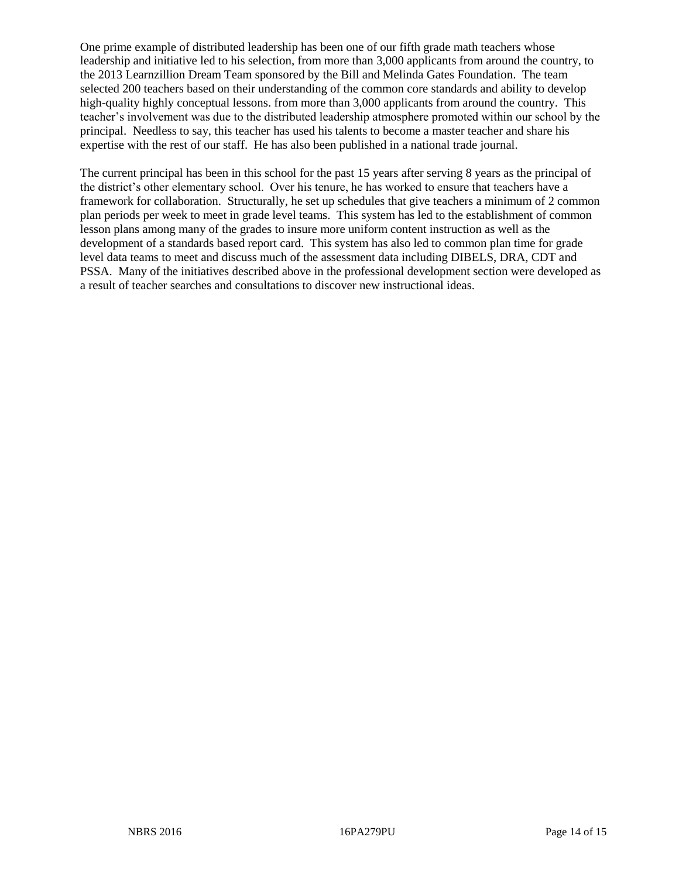One prime example of distributed leadership has been one of our fifth grade math teachers whose leadership and initiative led to his selection, from more than 3,000 applicants from around the country, to the 2013 Learnzillion Dream Team sponsored by the Bill and Melinda Gates Foundation. The team selected 200 teachers based on their understanding of the common core standards and ability to develop high-quality highly conceptual lessons. from more than 3,000 applicants from around the country. This teacher's involvement was due to the distributed leadership atmosphere promoted within our school by the principal. Needless to say, this teacher has used his talents to become a master teacher and share his expertise with the rest of our staff. He has also been published in a national trade journal.

The current principal has been in this school for the past 15 years after serving 8 years as the principal of the district's other elementary school. Over his tenure, he has worked to ensure that teachers have a framework for collaboration. Structurally, he set up schedules that give teachers a minimum of 2 common plan periods per week to meet in grade level teams. This system has led to the establishment of common lesson plans among many of the grades to insure more uniform content instruction as well as the development of a standards based report card. This system has also led to common plan time for grade level data teams to meet and discuss much of the assessment data including DIBELS, DRA, CDT and PSSA. Many of the initiatives described above in the professional development section were developed as a result of teacher searches and consultations to discover new instructional ideas.